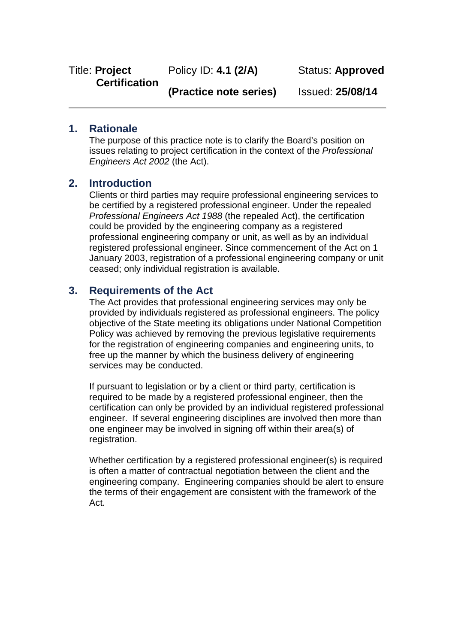Policy ID: **4.1 (2/A)**

Status: **Approved**

**(Practice note series)**

Issued: **25/08/14**

## **1. Rationale**

The purpose of this practice note is to clarify the Board's position on issues relating to project certification in the context of the *Professional Engineers Act 2002* (the Act).

### **2. Introduction**

Clients or third parties may require professional engineering services to be certified by a registered professional engineer. Under the repealed *Professional Engineers Act 1988* (the repealed Act), the certification could be provided by the engineering company as a registered professional engineering company or unit, as well as by an individual registered professional engineer. Since commencement of the Act on 1 January 2003, registration of a professional engineering company or unit ceased; only individual registration is available.

### **3. Requirements of the Act**

The Act provides that professional engineering services may only be provided by individuals registered as professional engineers. The policy objective of the State meeting its obligations under National Competition Policy was achieved by removing the previous legislative requirements for the registration of engineering companies and engineering units, to free up the manner by which the business delivery of engineering services may be conducted.

If pursuant to legislation or by a client or third party, certification is required to be made by a registered professional engineer, then the certification can only be provided by an individual registered professional engineer. If several engineering disciplines are involved then more than one engineer may be involved in signing off within their area(s) of registration.

Whether certification by a registered professional engineer(s) is required is often a matter of contractual negotiation between the client and the engineering company. Engineering companies should be alert to ensure the terms of their engagement are consistent with the framework of the Act.